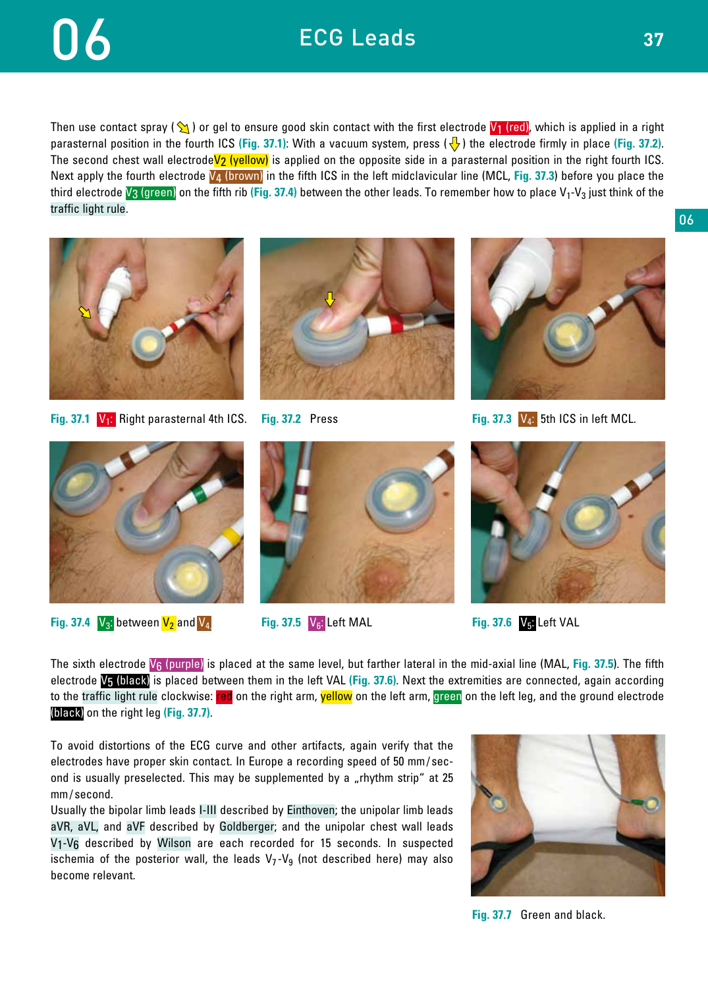## ECG Leads

## 06

Then use contact spray ( $\setminus$ ) or gel to ensure good skin contact with the first electrode  $V_1$  (red), which is applied in a right parasternal position in the fourth ICS (Fig. 37.1): With a vacuum system, press  $(\sqrt{\phantom{1}}\,)$  the electrode firmly in place (Fig. 37.2). The second chest wall electrode $V_2$  (yellow) is applied on the opposite side in a parasternal position in the right fourth ICS. Next apply the fourth electrode V4 (brown) in the fifth ICS in the left midclavicular line (MCL, **Fig. 37.3**) before you place the third electrode  $V_3$  (green) on the fifth rib (Fig. 37.4) between the other leads. To remember how to place  $V_1$ - $V_3$  just think of the traffic light rule.



**Fig. 37.1**  V<sub>1</sub>: Right parasternal 4th ICS. **Fig. 37.2** Press **Fig. 37.3 V<sub>4</sub>: 5th ICS in left MCL.** 







**Fig. 37.4**  $V_3$ : between  $V_2$  and  $V_4$  **Fig. 37.5**  $V_6$ : Left MAL **Fig. 37.6**  $V_5$ : Left VAL





The sixth electrode V6 (purple) is placed at the same level, but farther lateral in the mid-axial line (MAL, **Fig. 37.5**). The fifth electrode V5 (black) is placed between them in the left VAL **(Fig. 37.6)**. Next the extremities are connected, again according to the traffic light rule clockwise: red on the right arm, yellow on the left arm, green on the left leg, and the ground electrode (black) on the right leg **(Fig. 37.7)**.

To avoid distortions of the ECG curve and other artifacts, again verify that the electrodes have proper skin contact. In Europe a recording speed of 50 mm/ second is usually preselected. This may be supplemented by a "rhythm strip" at 25 mm/ second.

Usually the bipolar limb leads I-III described by Einthoven; the unipolar limb leads aVR, aVL, and aVF described by Goldberger; and the unipolar chest wall leads V1-V6 described by Wilson are each recorded for 15 seconds. In suspected ischemia of the posterior wall, the leads  $V_7-V_9$  (not described here) may also become relevant.



**Fig. 37.7** Green and black.

06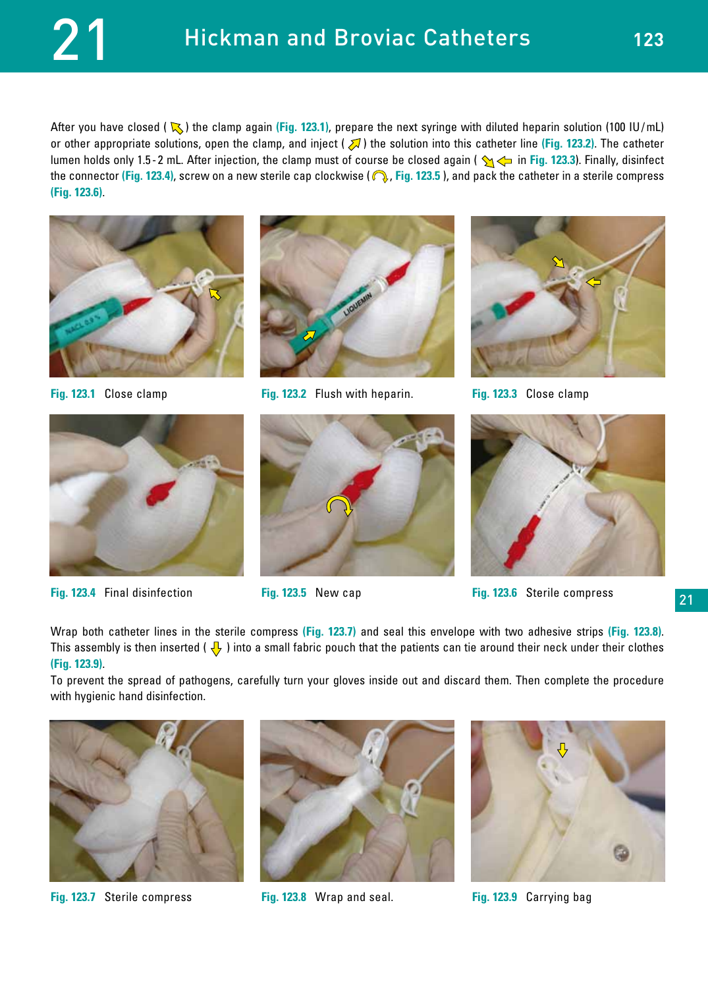After you have closed ( $\sqrt{ }$ ) the clamp again (**Fig. 123.1**), prepare the next syringe with diluted heparin solution (100 IU/mL) or other appropriate solutions, open the clamp, and inject  $(\sqrt{)}$  the solution into this catheter line **(Fig. 123.2)**. The catheter lumen holds only 1.5-2 mL. After injection, the clamp must of course be closed again (  $\rightarrow \rightarrow$  in Fig. 123.3). Finally, disinfect the connector (Fig. 123.4), screw on a new sterile cap clockwise (**Q, Fig. 123.5**), and pack the catheter in a sterile compress **(Fig. 123.6)**.





**Fig. 123.4** Final disinfection **Fig. 123.5** New cap **Fig. 123.6** Sterile compress



**Fig. 123.1** Close clamp **Fig. 123.2** Flush with heparin. **Fig. 123.3** Close clamp







21

Wrap both catheter lines in the sterile compress **(Fig. 123.7)** and seal this envelope with two adhesive strips **(Fig. 123.8)**. This assembly is then inserted ( $\sqrt{ }$ ) into a small fabric pouch that the patients can tie around their neck under their clothes **(Fig. 123.9)**.

To prevent the spread of pathogens, carefully turn your gloves inside out and discard them. Then complete the procedure with hygienic hand disinfection.



**Fig. 123.7** Sterile compress **Fig. 123.8** Wrap and seal. **Fig. 123.9** Carrying bag